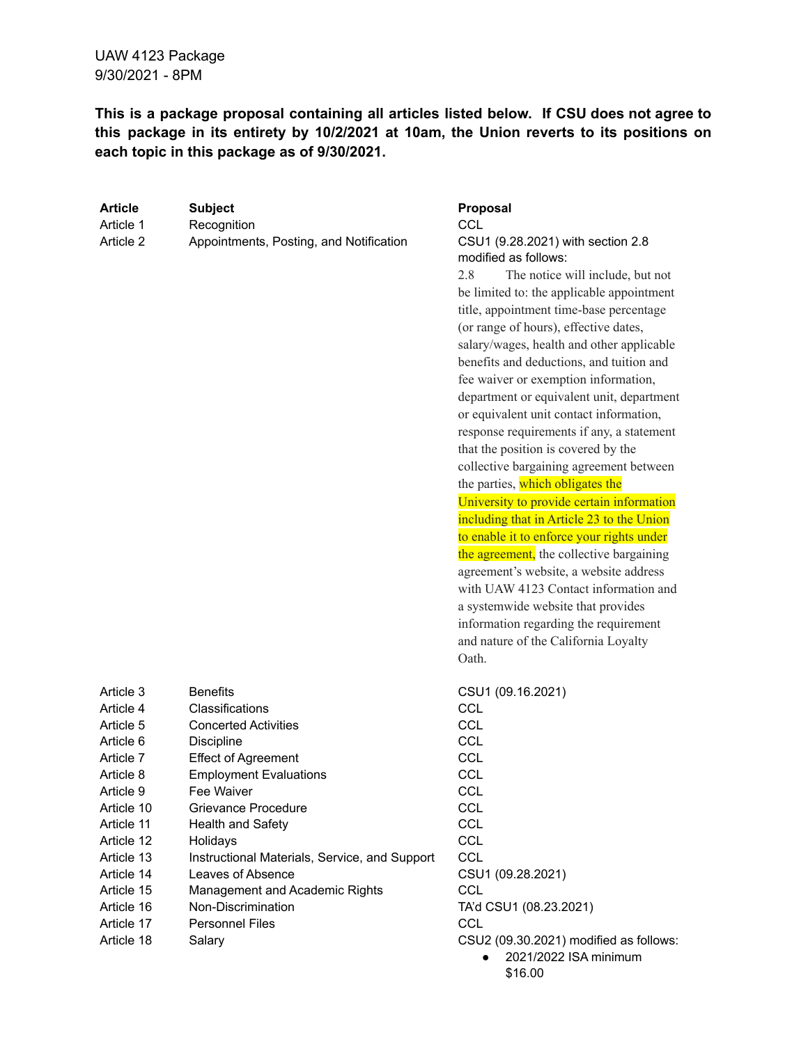**This is a package proposal containing all articles listed below. If CSU does not agree to this package in its entirety by 10/2/2021 at 10am, the Union reverts to its positions on each topic in this package as of 9/30/2021.**

| <b>Article</b> | <b>Subject</b>                                | <b>Proposal</b>                           |
|----------------|-----------------------------------------------|-------------------------------------------|
| Article 1      | Recognition                                   | <b>CCL</b>                                |
| Article 2      | Appointments, Posting, and Notification       | CSU1 (9.28.2021) with section 2.8         |
|                |                                               | modified as follows:                      |
|                |                                               | 2.8<br>The notice will include, but not   |
|                |                                               | be limited to: the applicable appointment |
|                |                                               | title, appointment time-base percentage   |
|                |                                               | (or range of hours), effective dates,     |
|                |                                               | salary/wages, health and other applicable |
|                |                                               | benefits and deductions, and tuition and  |
|                |                                               | fee waiver or exemption information,      |
|                |                                               | department or equivalent unit, department |
|                |                                               | or equivalent unit contact information,   |
|                |                                               | response requirements if any, a statement |
|                |                                               | that the position is covered by the       |
|                |                                               | collective bargaining agreement between   |
|                |                                               | the parties, which obligates the          |
|                |                                               | University to provide certain information |
|                |                                               | including that in Article 23 to the Union |
|                |                                               | to enable it to enforce your rights under |
|                |                                               | the agreement, the collective bargaining  |
|                |                                               | agreement's website, a website address    |
|                |                                               | with UAW 4123 Contact information and     |
|                |                                               | a systemwide website that provides        |
|                |                                               | information regarding the requirement     |
|                |                                               | and nature of the California Loyalty      |
|                |                                               | Oath.                                     |
| Article 3      | <b>Benefits</b>                               | CSU1 (09.16.2021)                         |
| Article 4      | Classifications                               | <b>CCL</b>                                |
| Article 5      | <b>Concerted Activities</b>                   | <b>CCL</b>                                |
| Article 6      | Discipline                                    | <b>CCL</b>                                |
| Article 7      | <b>Effect of Agreement</b>                    | <b>CCL</b>                                |
| Article 8      | <b>Employment Evaluations</b>                 | CCL                                       |
| Article 9      | Fee Waiver                                    | <b>CCL</b>                                |
| Article 10     | Grievance Procedure                           | <b>CCL</b>                                |
| Article 11     | Health and Safety                             | <b>CCL</b>                                |
| Article 12     | Holidays                                      | <b>CCL</b>                                |
| Article 13     | Instructional Materials, Service, and Support | <b>CCL</b>                                |
| Article 14     | Leaves of Absence                             | CSU1 (09.28.2021)                         |
| Article 15     | Management and Academic Rights                | <b>CCL</b>                                |
| Article 16     | Non-Discrimination                            | TA'd CSU1 (08.23.2021)                    |
| Article 17     | <b>Personnel Files</b>                        | <b>CCL</b>                                |
| Article 18     | Salary                                        | CSU2 (09.30.2021) modified as follows:    |
|                |                                               | 2021/2022 ISA minimum<br>\$16.00          |